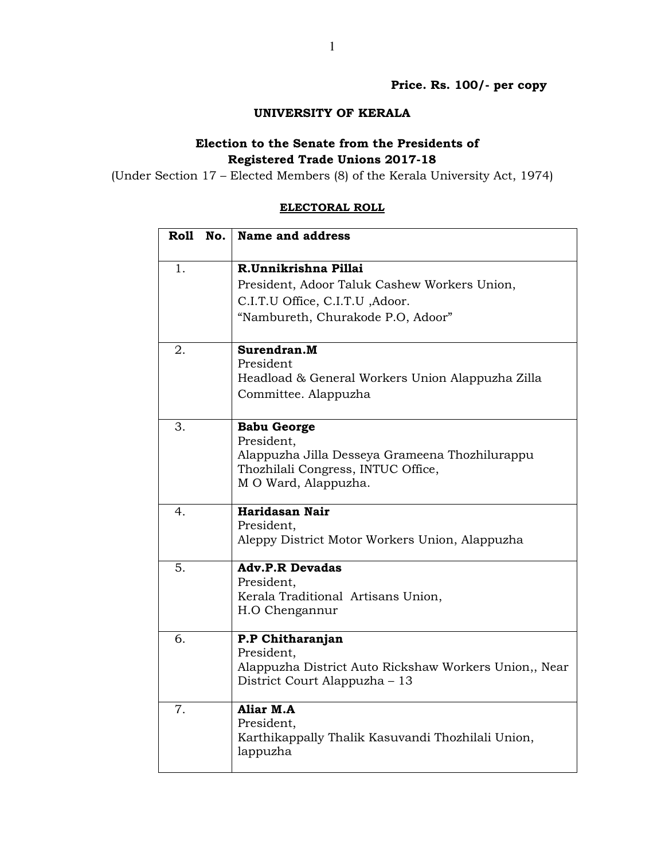Price. Rs. 100/- per copy

## UNIVERSITY OF KERALA

## Election to the Senate from the Presidents of Registered Trade Unions 2017-18

(Under Section 17 – Elected Members (8) of the Kerala University Act, 1974)

## ELECTORAL ROLL

| Roll No. | Name and address                                                                                                                                 |
|----------|--------------------------------------------------------------------------------------------------------------------------------------------------|
| 1.       | R.Unnikrishna Pillai<br>President, Adoor Taluk Cashew Workers Union,<br>C.I.T.U Office, C.I.T.U , Adoor.<br>"Nambureth, Churakode P.O, Adoor"    |
| 2.       | Surendran.M<br>President<br>Headload & General Workers Union Alappuzha Zilla<br>Committee. Alappuzha                                             |
| 3.       | <b>Babu George</b><br>President,<br>Alappuzha Jilla Desseya Grameena Thozhilurappu<br>Thozhilali Congress, INTUC Office,<br>M O Ward, Alappuzha. |
| 4.       | Haridasan Nair<br>President,<br>Aleppy District Motor Workers Union, Alappuzha                                                                   |
| 5.       | <b>Adv.P.R Devadas</b><br>President,<br>Kerala Traditional Artisans Union,<br>H.O Chengannur                                                     |
| 6.       | P.P Chitharanjan<br>President,<br>Alappuzha District Auto Rickshaw Workers Union,, Near<br>District Court Alappuzha – 13                         |
| 7.       | Aliar M.A<br>President,<br>Karthikappally Thalik Kasuvandi Thozhilali Union,<br>lappuzha                                                         |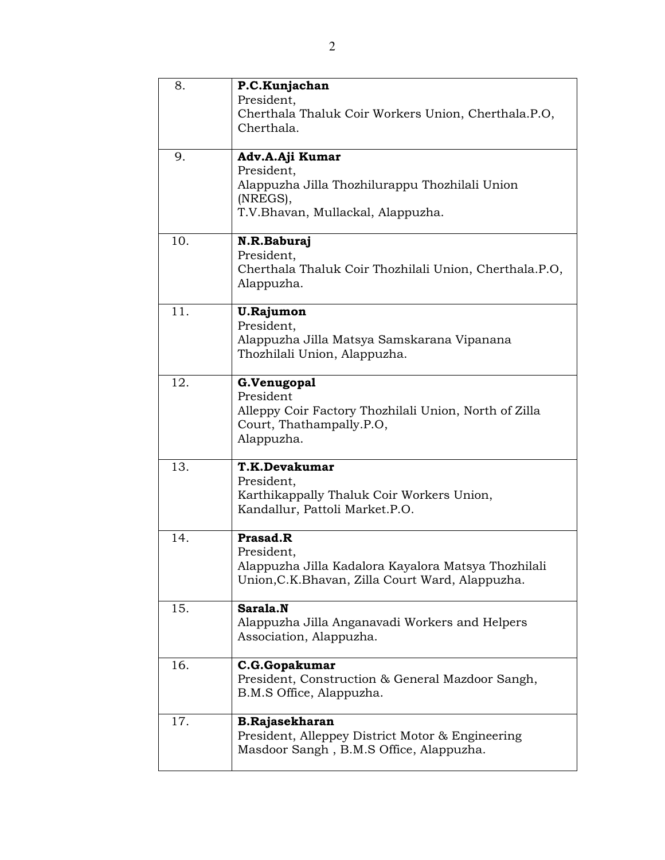| 8.  | P.C.Kunjachan<br>President,<br>Cherthala Thaluk Coir Workers Union, Cherthala.P.O,<br>Cherthala.                                  |
|-----|-----------------------------------------------------------------------------------------------------------------------------------|
| 9.  | Adv.A.Aji Kumar<br>President,<br>Alappuzha Jilla Thozhilurappu Thozhilali Union<br>(NREGS),<br>T.V.Bhavan, Mullackal, Alappuzha.  |
| 10. | N.R.Baburaj<br>President,<br>Cherthala Thaluk Coir Thozhilali Union, Cherthala.P.O,<br>Alappuzha.                                 |
| 11. | <b>U.Rajumon</b><br>President,<br>Alappuzha Jilla Matsya Samskarana Vipanana<br>Thozhilali Union, Alappuzha.                      |
| 12. | G.Venugopal<br>President<br>Alleppy Coir Factory Thozhilali Union, North of Zilla<br>Court, Thathampally.P.O,<br>Alappuzha.       |
| 13. | T.K.Devakumar<br>President,<br>Karthikappally Thaluk Coir Workers Union,<br>Kandallur, Pattoli Market.P.O.                        |
| 14. | Prasad.R<br>President,<br>Alappuzha Jilla Kadalora Kayalora Matsya Thozhilali<br>Union, C.K. Bhavan, Zilla Court Ward, Alappuzha. |
| 15. | Sarala.N<br>Alappuzha Jilla Anganavadi Workers and Helpers<br>Association, Alappuzha.                                             |
| 16. | C.G.Gopakumar<br>President, Construction & General Mazdoor Sangh,<br>B.M.S Office, Alappuzha.                                     |
| 17. | <b>B.Rajasekharan</b><br>President, Alleppey District Motor & Engineering<br>Masdoor Sangh, B.M.S Office, Alappuzha.              |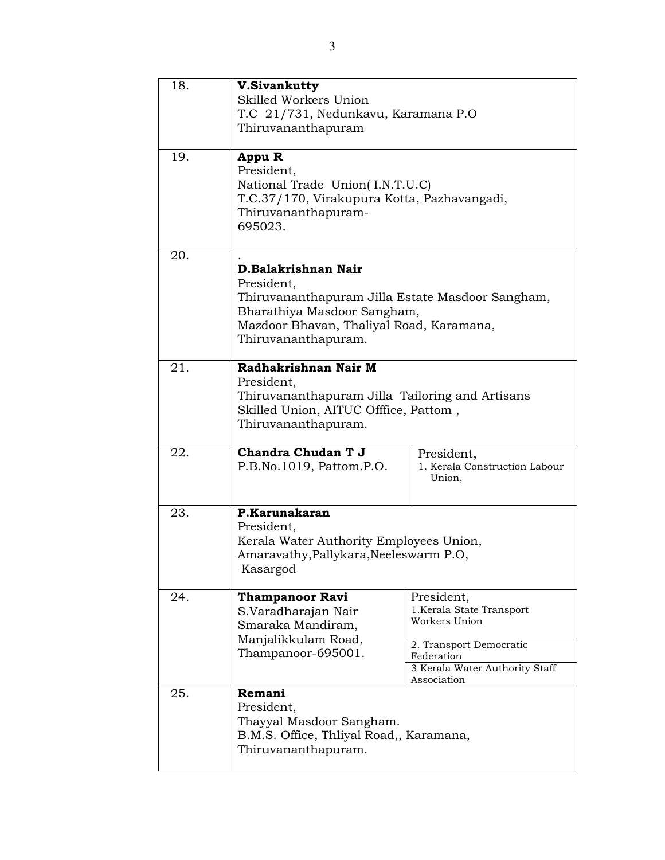| 18. | <b>V.Sivankutty</b><br>Skilled Workers Union<br>T.C 21/731, Nedunkavu, Karamana P.O<br>Thiruvananthapuram                                                                               |                                                                                     |
|-----|-----------------------------------------------------------------------------------------------------------------------------------------------------------------------------------------|-------------------------------------------------------------------------------------|
| 19. | Appu R<br>President,<br>National Trade Union(I.N.T.U.C)<br>T.C.37/170, Virakupura Kotta, Pazhavangadi,<br>Thiruvananthapuram-<br>695023.                                                |                                                                                     |
| 20. | D.Balakrishnan Nair<br>President,<br>Thiruvananthapuram Jilla Estate Masdoor Sangham,<br>Bharathiya Masdoor Sangham,<br>Mazdoor Bhavan, Thaliyal Road, Karamana,<br>Thiruvananthapuram. |                                                                                     |
| 21. | Radhakrishnan Nair M<br>President,<br>Thiruvananthapuram Jilla Tailoring and Artisans<br>Skilled Union, AITUC Offfice, Pattom,<br>Thiruvananthapuram.                                   |                                                                                     |
| 22. | Chandra Chudan T J<br>P.B.No.1019, Pattom.P.O.                                                                                                                                          | President,<br>1. Kerala Construction Labour<br>Union,                               |
| 23. | P.Karunakaran<br>President,<br>Kerala Water Authority Employees Union,<br>Amaravathy, Pallykara, Neeleswarm P.O,<br>Kasargod                                                            |                                                                                     |
| 24. | <b>Thampanoor Ravi</b><br>S.Varadharajan Nair<br>Smaraka Mandiram,<br>Manjalikkulam Road,                                                                                               | President,<br>1. Kerala State Transport<br>Workers Union<br>2. Transport Democratic |
|     | Thampanoor-695001.                                                                                                                                                                      | Federation<br>3 Kerala Water Authority Staff<br>Association                         |
| 25. | Remani<br>President,<br>Thayyal Masdoor Sangham.<br>B.M.S. Office, Thliyal Road,, Karamana,<br>Thiruvananthapuram.                                                                      |                                                                                     |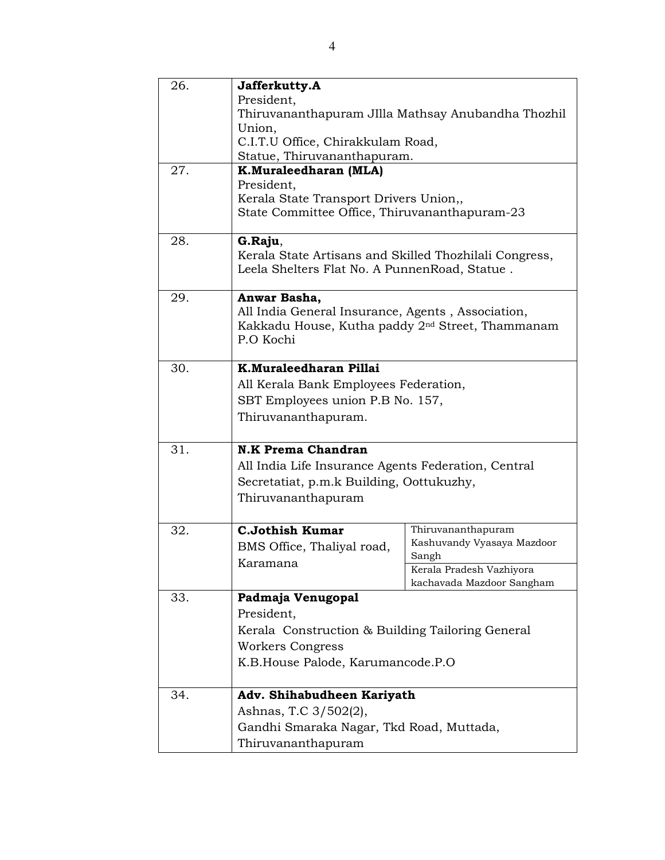| 26. | Jafferkutty.A<br>President,<br>Thiruvananthapuram JIlla Mathsay Anubandha Thozhil<br>Union,<br>C.I.T.U Office, Chirakkulam Road,<br>Statue, Thiruvananthapuram. |                                                                                                                    |
|-----|-----------------------------------------------------------------------------------------------------------------------------------------------------------------|--------------------------------------------------------------------------------------------------------------------|
| 27. | <b>K.Muraleedharan (MLA)</b><br>President,<br>Kerala State Transport Drivers Union,,<br>State Committee Office, Thiruvananthapuram-23                           |                                                                                                                    |
| 28. | G.Raju,<br>Kerala State Artisans and Skilled Thozhilali Congress,<br>Leela Shelters Flat No. A Punnen Road, Statue.                                             |                                                                                                                    |
| 29. | Anwar Basha,<br>All India General Insurance, Agents, Association,<br>Kakkadu House, Kutha paddy 2 <sup>nd</sup> Street, Thammanam<br>P.O Kochi                  |                                                                                                                    |
| 30. | K.Muraleedharan Pillai<br>All Kerala Bank Employees Federation,<br>SBT Employees union P.B No. 157,<br>Thiruvananthapuram.                                      |                                                                                                                    |
| 31. | <b>N.K Prema Chandran</b><br>All India Life Insurance Agents Federation, Central<br>Secretatiat, p.m.k Building, Oottukuzhy,<br>Thiruvananthapuram              |                                                                                                                    |
| 32. | <b>C.Jothish Kumar</b><br>BMS Office, Thaliyal road,<br>Karamana                                                                                                | Thiruvananthapuram<br>Kashuvandy Vyasaya Mazdoor<br>Sangh<br>Kerala Pradesh Vazhiyora<br>kachavada Mazdoor Sangham |
| 33. | Padmaja Venugopal<br>President,<br>Kerala Construction & Building Tailoring General<br>Workers Congress<br>K.B.House Palode, Karumancode.P.O.                   |                                                                                                                    |
| 34. | Adv. Shihabudheen Kariyath<br>Ashnas, T.C 3/502(2),<br>Gandhi Smaraka Nagar, Tkd Road, Muttada,<br>Thiruvananthapuram                                           |                                                                                                                    |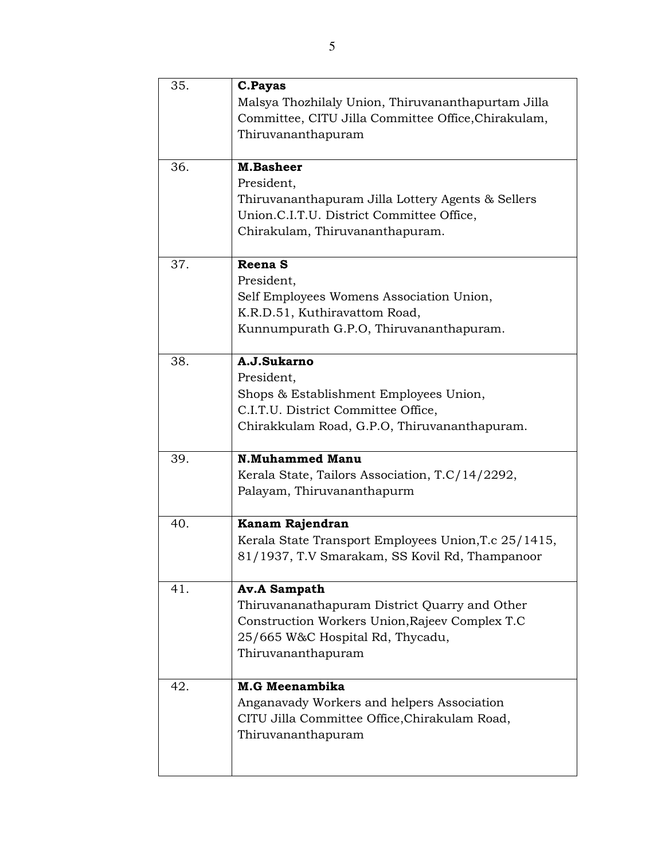| 35. | C.Payas                                              |
|-----|------------------------------------------------------|
|     | Malsya Thozhilaly Union, Thiruvananthapurtam Jilla   |
|     | Committee, CITU Jilla Committee Office, Chirakulam,  |
|     | Thiruvananthapuram                                   |
|     |                                                      |
| 36. | <b>M.Basheer</b>                                     |
|     | President,                                           |
|     | Thiruvananthapuram Jilla Lottery Agents & Sellers    |
|     | Union.C.I.T.U. District Committee Office,            |
|     | Chirakulam, Thiruvananthapuram.                      |
|     |                                                      |
| 37. | Reena <sub>S</sub>                                   |
|     | President,                                           |
|     | Self Employees Womens Association Union,             |
|     | K.R.D.51, Kuthiravattom Road,                        |
|     | Kunnumpurath G.P.O, Thiruvananthapuram.              |
|     |                                                      |
| 38. | A.J.Sukarno                                          |
|     | President,                                           |
|     | Shops & Establishment Employees Union,               |
|     | C.I.T.U. District Committee Office,                  |
|     | Chirakkulam Road, G.P.O, Thiruvananthapuram.         |
|     |                                                      |
| 39. | <b>N.Muhammed Manu</b>                               |
|     | Kerala State, Tailors Association, T.C/14/2292,      |
|     | Palayam, Thiruvananthapurm                           |
|     |                                                      |
| 40. | Kanam Rajendran                                      |
|     | Kerala State Transport Employees Union, T.c 25/1415, |
|     | 81/1937, T.V Smarakam, SS Kovil Rd, Thampanoor       |
|     |                                                      |
| 41. | <b>Av.A Sampath</b>                                  |
|     | Thiruvananathapuram District Quarry and Other        |
|     | Construction Workers Union, Rajeev Complex T.C       |
|     | 25/665 W&C Hospital Rd, Thycadu,                     |
|     | Thiruvananthapuram                                   |
|     |                                                      |
| 42. | <b>M.G Meenambika</b>                                |
|     | Anganavady Workers and helpers Association           |
|     | CITU Jilla Committee Office, Chirakulam Road,        |
|     | Thiruvananthapuram                                   |
|     |                                                      |
|     |                                                      |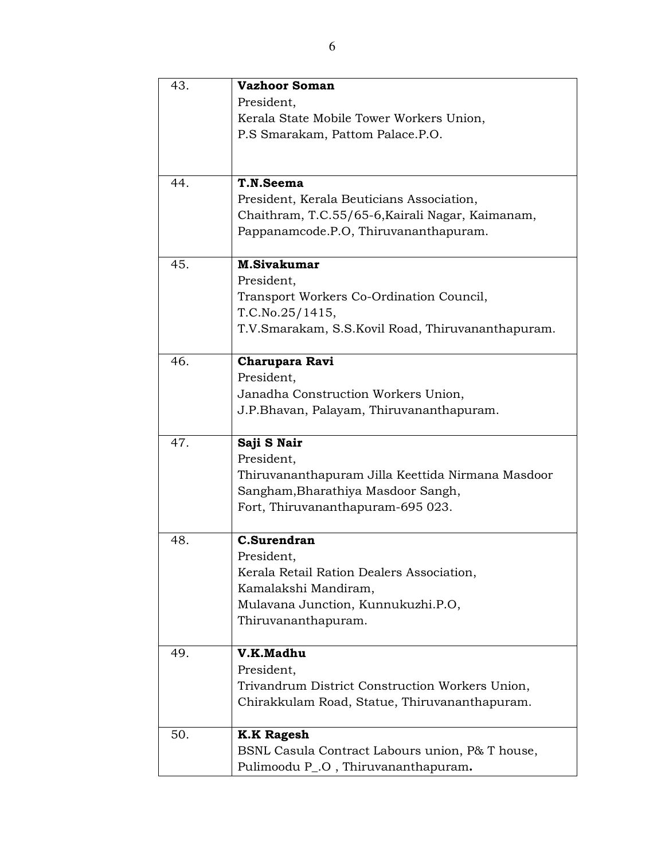| 43. | <b>Vazhoor Soman</b>                              |
|-----|---------------------------------------------------|
|     | President,                                        |
|     | Kerala State Mobile Tower Workers Union,          |
|     | P.S Smarakam, Pattom Palace.P.O.                  |
|     |                                                   |
|     |                                                   |
| 44. | T.N.Seema                                         |
|     | President, Kerala Beuticians Association,         |
|     | Chaithram, T.C.55/65-6, Kairali Nagar, Kaimanam,  |
|     | Pappanamcode.P.O, Thiruvananthapuram.             |
| 45. | <b>M.Sivakumar</b>                                |
|     | President,                                        |
|     | Transport Workers Co-Ordination Council,          |
|     | T.C.No.25/1415,                                   |
|     | T.V.Smarakam, S.S.Kovil Road, Thiruvananthapuram. |
|     |                                                   |
| 46. | Charupara Ravi                                    |
|     | President,                                        |
|     | Janadha Construction Workers Union,               |
|     | J.P.Bhavan, Palayam, Thiruvananthapuram.          |
|     |                                                   |
| 47. | Saji S Nair                                       |
|     | President,                                        |
|     | Thiruvananthapuram Jilla Keettida Nirmana Masdoor |
|     | Sangham, Bharathiya Masdoor Sangh,                |
|     | Fort, Thiruvananthapuram-695 023.                 |
| 48. | <b>C.Surendran</b>                                |
|     | President,                                        |
|     | Kerala Retail Ration Dealers Association,         |
|     | Kamalakshi Mandiram,                              |
|     | Mulavana Junction, Kunnukuzhi.P.O,                |
|     | Thiruvananthapuram.                               |
|     |                                                   |
| 49. | V.K.Madhu                                         |
|     | President,                                        |
|     | Trivandrum District Construction Workers Union,   |
|     | Chirakkulam Road, Statue, Thiruvananthapuram.     |
| 50. | <b>K.K Ragesh</b>                                 |
|     | BSNL Casula Contract Labours union, P& T house,   |
|     | Pulimoodu P_.O, Thiruvananthapuram.               |
|     |                                                   |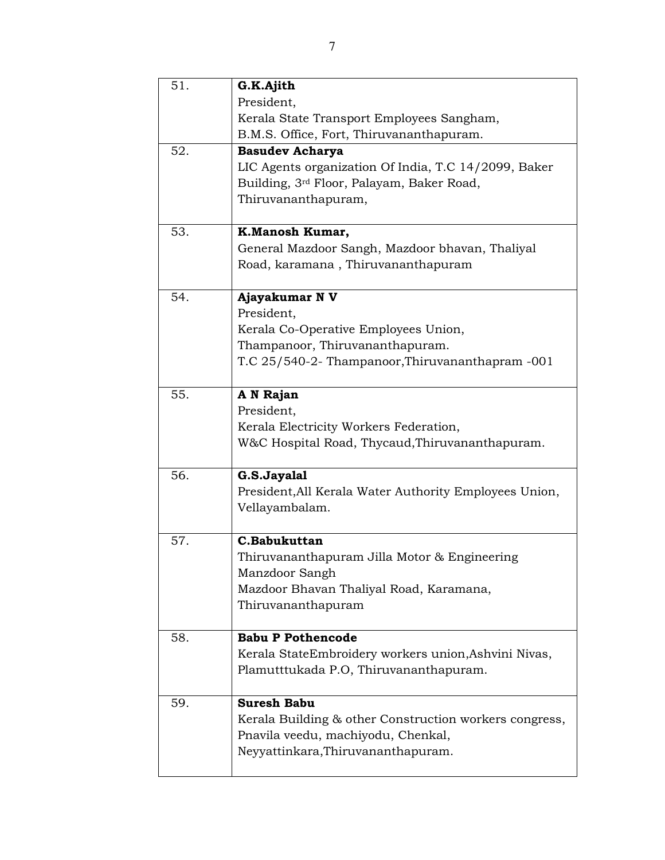| 51. | G.K.Ajith                                              |
|-----|--------------------------------------------------------|
|     | President,                                             |
|     | Kerala State Transport Employees Sangham,              |
|     | B.M.S. Office, Fort, Thiruvananthapuram.               |
| 52. | <b>Basudev Acharya</b>                                 |
|     | LIC Agents organization Of India, T.C 14/2099, Baker   |
|     | Building, 3rd Floor, Palayam, Baker Road,              |
|     | Thiruvananthapuram,                                    |
|     |                                                        |
| 53. | K.Manosh Kumar,                                        |
|     | General Mazdoor Sangh, Mazdoor bhavan, Thaliyal        |
|     | Road, karamana, Thiruvananthapuram                     |
|     |                                                        |
| 54. | Ajayakumar N V                                         |
|     | President,                                             |
|     | Kerala Co-Operative Employees Union,                   |
|     | Thampanoor, Thiruvananthapuram.                        |
|     | T.C 25/540-2- Thampanoor, Thiruvananthapram -001       |
|     |                                                        |
| 55. | A N Rajan                                              |
|     | President,                                             |
|     | Kerala Electricity Workers Federation,                 |
|     | W&C Hospital Road, Thycaud, Thiruvananthapuram.        |
|     |                                                        |
| 56. | G.S.Jayalal                                            |
|     | President, All Kerala Water Authority Employees Union, |
|     | Vellayambalam.                                         |
|     |                                                        |
| 57. | C.Babukuttan                                           |
|     | Thiruvananthapuram Jilla Motor & Engineering           |
|     | Manzdoor Sangh                                         |
|     | Mazdoor Bhavan Thaliyal Road, Karamana,                |
|     | Thiruvananthapuram                                     |
|     |                                                        |
| 58. | <b>Babu P Pothencode</b>                               |
|     | Kerala StateEmbroidery workers union, Ashvini Nivas,   |
|     | Plamutttukada P.O, Thiruvananthapuram.                 |
|     |                                                        |
| 59. | <b>Suresh Babu</b>                                     |
|     | Kerala Building & other Construction workers congress, |
|     | Pnavila veedu, machiyodu, Chenkal,                     |
|     | Neyyattinkara, Thiruvananthapuram.                     |
|     |                                                        |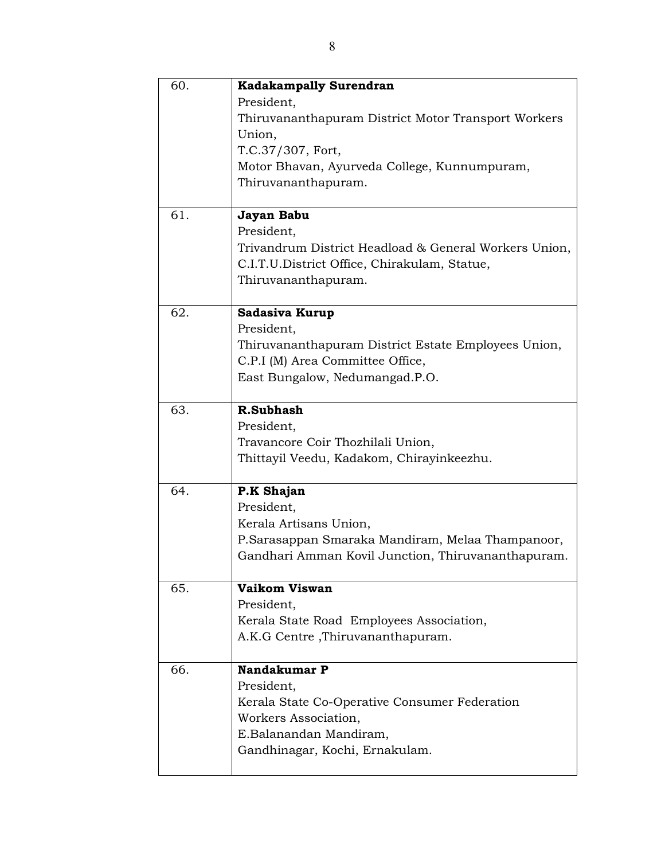| 60. | <b>Kadakampally Surendran</b>                         |
|-----|-------------------------------------------------------|
|     | President,                                            |
|     | Thiruvananthapuram District Motor Transport Workers   |
|     | Union,                                                |
|     | T.C.37/307, Fort,                                     |
|     | Motor Bhavan, Ayurveda College, Kunnumpuram,          |
|     | Thiruvananthapuram.                                   |
|     |                                                       |
| 61. | Jayan Babu                                            |
|     | President,                                            |
|     | Trivandrum District Headload & General Workers Union, |
|     | C.I.T.U.District Office, Chirakulam, Statue,          |
|     | Thiruvananthapuram.                                   |
|     |                                                       |
| 62. | <b>Sadasiva Kurup</b>                                 |
|     | President,                                            |
|     | Thiruvananthapuram District Estate Employees Union,   |
|     | C.P.I (M) Area Committee Office,                      |
|     | East Bungalow, Nedumangad.P.O.                        |
|     |                                                       |
| 63. | <b>R.Subhash</b>                                      |
|     | President,                                            |
|     | Travancore Coir Thozhilali Union,                     |
|     | Thittayil Veedu, Kadakom, Chirayinkeezhu.             |
|     |                                                       |
| 64. | P.K Shajan                                            |
|     | President,                                            |
|     | Kerala Artisans Union,                                |
|     | P.Sarasappan Smaraka Mandiram, Melaa Thampanoor,      |
|     | Gandhari Amman Kovil Junction, Thiruvananthapuram.    |
|     |                                                       |
| 65. | Vaikom Viswan                                         |
|     | President,                                            |
|     | Kerala State Road Employees Association,              |
|     | A.K.G Centre, Thiruvananthapuram.                     |
| 66. | Nandakumar P                                          |
|     | President,                                            |
|     | Kerala State Co-Operative Consumer Federation         |
|     |                                                       |
|     | Workers Association,                                  |
|     | E.Balanandan Mandiram,                                |
|     | Gandhinagar, Kochi, Ernakulam.                        |
|     |                                                       |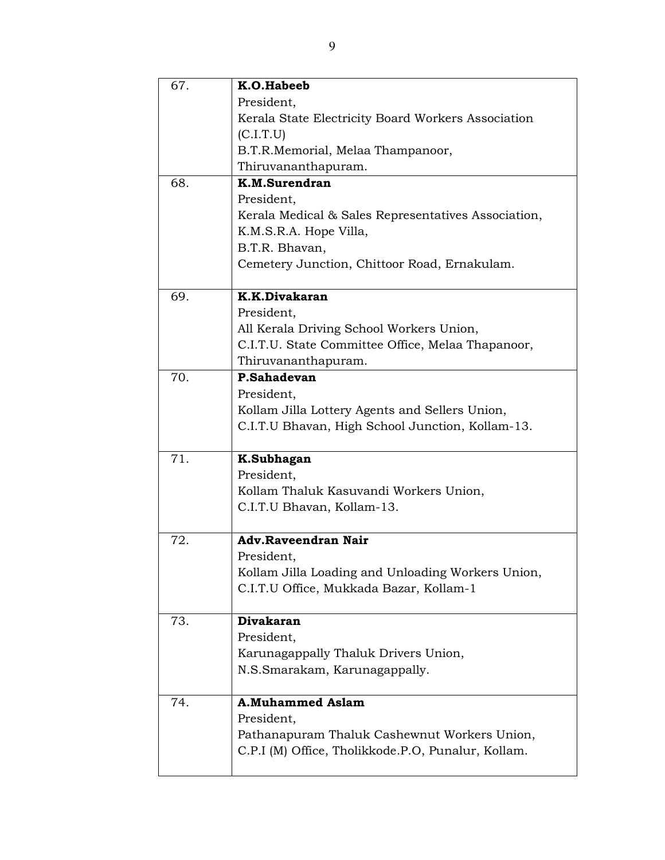| 67. | K.O.Habeeb                                          |
|-----|-----------------------------------------------------|
|     | President,                                          |
|     | Kerala State Electricity Board Workers Association  |
|     | (C.I.T.U)                                           |
|     | B.T.R.Memorial, Melaa Thampanoor,                   |
|     | Thiruvananthapuram.                                 |
| 68. | K.M.Surendran                                       |
|     | President,                                          |
|     | Kerala Medical & Sales Representatives Association, |
|     | K.M.S.R.A. Hope Villa,                              |
|     | B.T.R. Bhavan,                                      |
|     | Cemetery Junction, Chittoor Road, Ernakulam.        |
|     |                                                     |
| 69. | K.K.Divakaran                                       |
|     | President,                                          |
|     | All Kerala Driving School Workers Union,            |
|     | C.I.T.U. State Committee Office, Melaa Thapanoor,   |
|     | Thiruvananthapuram.                                 |
| 70. | P.Sahadevan                                         |
|     | President,                                          |
|     | Kollam Jilla Lottery Agents and Sellers Union,      |
|     | C.I.T.U Bhavan, High School Junction, Kollam-13.    |
|     |                                                     |
| 71. | K.Subhagan                                          |
|     | President,                                          |
|     | Kollam Thaluk Kasuvandi Workers Union,              |
|     | C.I.T.U Bhavan, Kollam-13.                          |
|     |                                                     |
| 72. | <b>Adv.Raveendran Nair</b>                          |
|     | President,                                          |
|     | Kollam Jilla Loading and Unloading Workers Union,   |
|     | C.I.T.U Office, Mukkada Bazar, Kollam-1             |
|     |                                                     |
| 73. | <b>Divakaran</b>                                    |
|     | President,                                          |
|     | Karunagappally Thaluk Drivers Union,                |
|     | N.S.Smarakam, Karunagappally.                       |
| 74. | <b>A.Muhammed Aslam</b>                             |
|     | President,                                          |
|     | Pathanapuram Thaluk Cashewnut Workers Union,        |
|     | C.P.I (M) Office, Tholikkode.P.O, Punalur, Kollam.  |
|     |                                                     |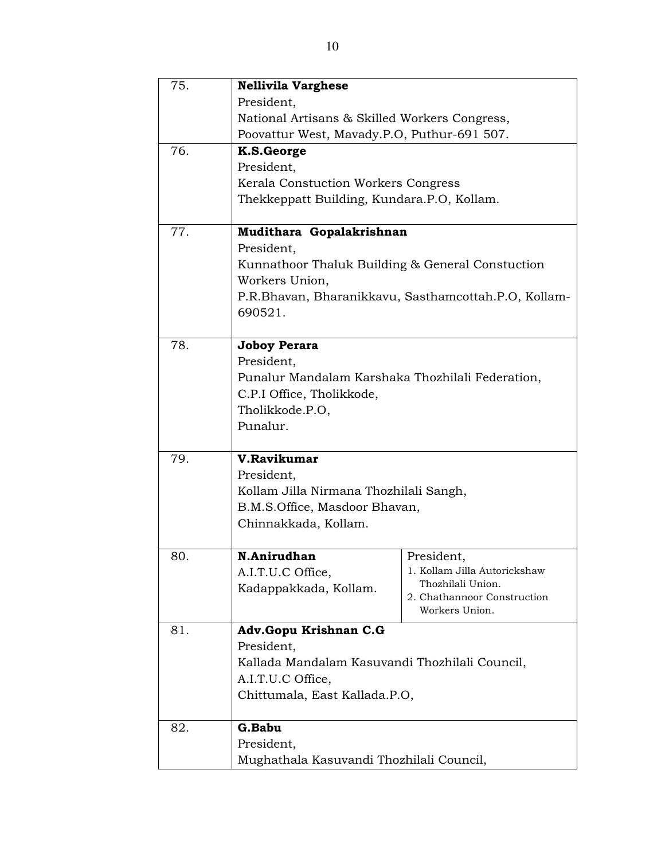| 75. | <b>Nellivila Varghese</b>                        |                                                      |
|-----|--------------------------------------------------|------------------------------------------------------|
|     | President,                                       |                                                      |
|     | National Artisans & Skilled Workers Congress,    |                                                      |
|     | Poovattur West, Mavady.P.O, Puthur-691 507.      |                                                      |
| 76. | K.S.George                                       |                                                      |
|     | President,                                       |                                                      |
|     | Kerala Constuction Workers Congress              |                                                      |
|     | Thekkeppatt Building, Kundara.P.O, Kollam.       |                                                      |
|     |                                                  |                                                      |
| 77. | Mudithara Gopalakrishnan                         |                                                      |
|     | President,                                       |                                                      |
|     | Kunnathoor Thaluk Building & General Constuction |                                                      |
|     | Workers Union,                                   |                                                      |
|     |                                                  | P.R.Bhavan, Bharanikkavu, Sasthamcottah.P.O, Kollam- |
|     | 690521.                                          |                                                      |
|     |                                                  |                                                      |
| 78. | <b>Joboy Perara</b>                              |                                                      |
|     | President,                                       |                                                      |
|     | Punalur Mandalam Karshaka Thozhilali Federation, |                                                      |
|     | C.P.I Office, Tholikkode,                        |                                                      |
|     | Tholikkode.P.O,                                  |                                                      |
|     | Punalur.                                         |                                                      |
|     |                                                  |                                                      |
| 79. | V.Ravikumar                                      |                                                      |
|     | President,                                       |                                                      |
|     | Kollam Jilla Nirmana Thozhilali Sangh,           |                                                      |
|     | B.M.S.Office, Masdoor Bhavan,                    |                                                      |
|     | Chinnakkada, Kollam.                             |                                                      |
|     |                                                  |                                                      |
| 80. | N.Anirudhan                                      | President,                                           |
|     | A.I.T.U.C Office,                                | 1. Kollam Jilla Autorickshaw                         |
|     | Kadappakkada, Kollam.                            | Thozhilali Union.                                    |
|     |                                                  | 2. Chathannoor Construction<br>Workers Union.        |
|     |                                                  |                                                      |
| 81. | Adv.Gopu Krishnan C.G                            |                                                      |
|     | President,                                       |                                                      |
|     | Kallada Mandalam Kasuvandi Thozhilali Council,   |                                                      |
|     | A.I.T.U.C Office,                                |                                                      |
|     | Chittumala, East Kallada.P.O,                    |                                                      |
|     | G.Babu                                           |                                                      |
| 82. |                                                  |                                                      |
|     | President,                                       |                                                      |
|     | Mughathala Kasuvandi Thozhilali Council,         |                                                      |